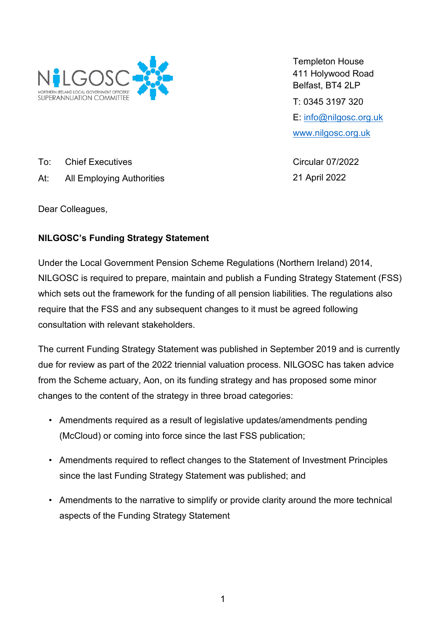

Templeton House 411 Holywood Road Belfast, BT4 2LP T: 0345 3197 320 E: [info@nilgosc.org.uk](mailto:info@nilgosc.org.uk) [www.nilgosc.org.uk](http://www.nilgosc.org.uk/)

Circular 07/2022 21 April 2022

To: Chief Executives

At: All Employing Authorities

Dear Colleagues,

## **NILGOSC's Funding Strategy Statement**

Under the Local Government Pension Scheme Regulations (Northern Ireland) 2014, NILGOSC is required to prepare, maintain and publish a Funding Strategy Statement (FSS) which sets out the framework for the funding of all pension liabilities. The regulations also require that the FSS and any subsequent changes to it must be agreed following consultation with relevant stakeholders.

The current Funding Strategy Statement was published in September 2019 and is currently due for review as part of the 2022 triennial valuation process. NILGOSC has taken advice from the Scheme actuary, Aon, on its funding strategy and has proposed some minor changes to the content of the strategy in three broad categories:

- Amendments required as a result of legislative updates/amendments pending (McCloud) or coming into force since the last FSS publication;
- Amendments required to reflect changes to the Statement of Investment Principles since the last Funding Strategy Statement was published; and
- Amendments to the narrative to simplify or provide clarity around the more technical aspects of the Funding Strategy Statement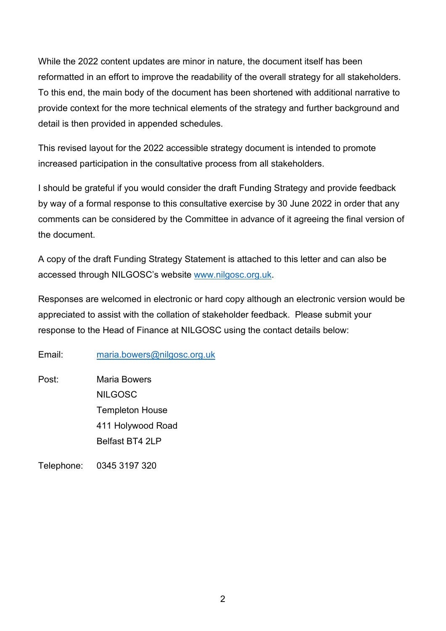While the 2022 content updates are minor in nature, the document itself has been reformatted in an effort to improve the readability of the overall strategy for all stakeholders. To this end, the main body of the document has been shortened with additional narrative to provide context for the more technical elements of the strategy and further background and detail is then provided in appended schedules.

This revised layout for the 2022 accessible strategy document is intended to promote increased participation in the consultative process from all stakeholders.

I should be grateful if you would consider the draft Funding Strategy and provide feedback by way of a formal response to this consultative exercise by 30 June 2022 in order that any comments can be considered by the Committee in advance of it agreeing the final version of the document.

A copy of the draft Funding Strategy Statement is attached to this letter and can also be accessed through NILGOSC's website [www.nilgosc.org.uk.](http://www.nilgosc.org.uk/)

Responses are welcomed in electronic or hard copy although an electronic version would be appreciated to assist with the collation of stakeholder feedback. Please submit your response to the Head of Finance at NILGOSC using the contact details below:

Email: [maria.bowers@nilgosc.org.uk](mailto:maria.bowers@nilgosc.org.uk)

Post: Maria Bowers NILGOSC Templeton House 411 Holywood Road Belfast BT4 2LP

Telephone: 0345 3197 320